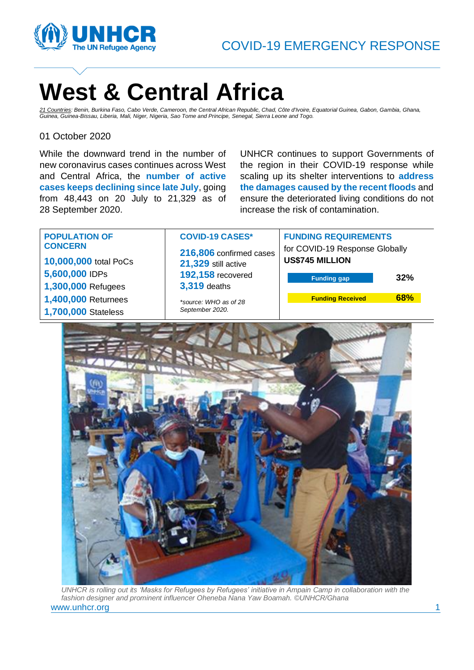

# **West & Central Africa**

*21 Countries: Benin, Burkina Faso, Cabo Verde, Cameroon, the Central African Republic, Chad, Côte d'Ivoire, Equatorial Guinea, Gabon, Gambia, Ghana, Guinea, Guinea-Bissau, Liberia, Mali, Niger, Nigeria, Sao Tome and Principe, Senegal, Sierra Leone and Togo.*

### 01 October 2020

While the downward trend in the number of new coronavirus cases continues across West and Central Africa, the **number of active cases keeps declining since late July**, going from 48,443 on 20 July to 21,329 as of 28 September 2020.

UNHCR continues to support Governments of the region in their COVID-19 response while scaling up its shelter interventions to **address the damages caused by the recent floods** and ensure the deteriorated living conditions do not increase the risk of contamination.



www.unhcr.org 1 and 1 and 1 and 1 and 1 and 1 and 1 and 1 and 1 and 1 and 1 and 1 and 1 and 1 and 1 and 1 and 1 and 1 and 1 and 1 and 1 and 1 and 1 and 1 and 1 and 1 and 1 and 1 and 1 and 1 and 1 and 1 and 1 and 1 and 1 an *UNHCR is rolling out its 'Masks for Refugees by Refugees' initiative in Ampain Camp in collaboration with the fashion designer and prominent influencer Oheneba Nana Yaw Boamah. ©UNHCR/Ghana*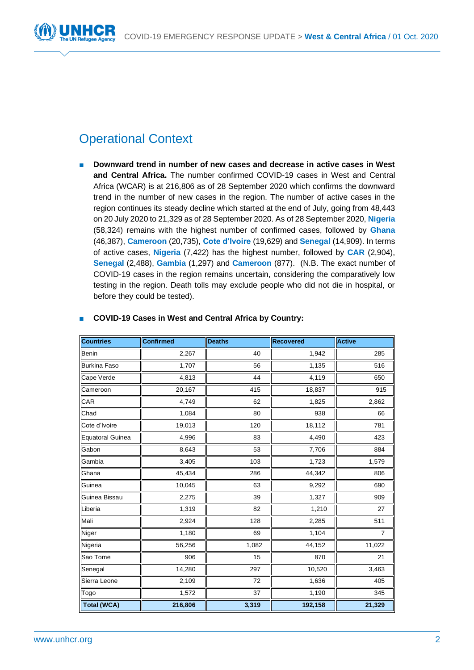

# Operational Context

■ **Downward trend in number of new cases and decrease in active cases in West and Central Africa.** The number confirmed COVID-19 cases in West and Central Africa (WCAR) is at 216,806 as of 28 September 2020 which confirms the downward trend in the number of new cases in the region. The number of active cases in the region continues its steady decline which started at the end of July, going from 48,443 on 20 July 2020 to 21,329 as of 28 September 2020. As of 28 September 2020, **Nigeria** (58,324) remains with the highest number of confirmed cases, followed by **Ghana** (46,387), **Cameroon** (20,735), **Cote d'Ivoire** (19,629) and **Senegal** (14,909). In terms of active cases, **Nigeria** (7,422) has the highest number, followed by **CAR** (2,904), **Senegal** (2,488), **Gambia** (1,297) and **Cameroon** (877). (N.B. The exact number of COVID-19 cases in the region remains uncertain, considering the comparatively low testing in the region. Death tolls may exclude people who did not die in hospital, or before they could be tested).

| Countries                | <b>Confirmed</b> | <b>Deaths</b> | <b>Recovered</b> | <b>Active</b>  |
|--------------------------|------------------|---------------|------------------|----------------|
| Benin                    | 2,267            | 40            | 1,942            | 285            |
| <b>Burkina Faso</b>      | 1,707            | 56            | 1,135            | 516            |
| Cape Verde               | 4,813            | 44            | 4,119            | 650            |
| Cameroon                 | 20,167           | 415           | 18,837           | 915            |
| CAR                      | 4,749            | 62            | 1,825            | 2,862          |
| $\overline{\text{Chad}}$ | 1,084            | 80            | 938              | 66             |
| Cote d'Ivoire            | 19,013           | 120           | 18,112           | 781            |
| Equatoral Guinea         | 4,996            | 83            | 4,490            | 423            |
| Gabon                    | 8,643            | 53            | 7,706            | 884            |
| Gambia                   | 3,405            | 103           | 1,723            | 1,579          |
| Ghana                    | 45,434           | 286           | 44,342           | 806            |
| Guinea                   | 10,045           | 63            | 9,292            | 690            |
| Guinea Bissau            | 2,275            | 39            | 1,327            | 909            |
| Liberia                  | 1,319            | 82            | 1,210            | 27             |
| Mali                     | 2,924            | 128           | 2,285            | 511            |
| Niger                    | 1,180            | 69            | 1,104            | $\overline{7}$ |
| Nigeria                  | 56,256           | 1,082         | 44,152           | 11,022         |
| Sao Tome                 | 906              | 15            | 870              | 21             |
| Senegal                  | 14,280           | 297           | 10,520           | 3,463          |
| Sierra Leone             | 2,109            | 72            | 1,636            | 405            |
| Togo                     | 1,572            | 37            | 1,190            | 345            |
| <b>Total (WCA)</b>       | 216,806          | 3,319         | 192,158          | 21,329         |

### ■ **COVID-19 Cases in West and Central Africa by Country:**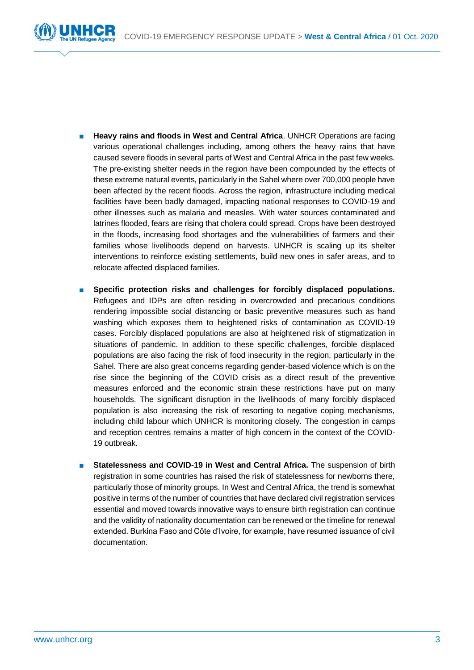

- **Heavy rains and floods in West and Central Africa. UNHCR Operations are facing** various operational challenges including, among others the heavy rains that have caused severe floods in several parts of West and Central Africa in the past few weeks. The pre-existing shelter needs in the region have been compounded by the effects of these extreme natural events, particularly in the Sahel where over 700,000 people have been affected by the recent floods. Across the region, infrastructure including medical facilities have been badly damaged, impacting national responses to COVID-19 and other illnesses such as malaria and measles. With water sources contaminated and latrines flooded, fears are rising that cholera could spread. Crops have been destroyed in the floods, increasing food shortages and the vulnerabilities of farmers and their families whose livelihoods depend on harvests. UNHCR is scaling up its shelter interventions to reinforce existing settlements, build new ones in safer areas, and to relocate affected displaced families.
- Specific protection risks and challenges for forcibly displaced populations. Refugees and IDPs are often residing in overcrowded and precarious conditions rendering impossible social distancing or basic preventive measures such as hand washing which exposes them to heightened risks of contamination as COVID-19 cases. Forcibly displaced populations are also at heightened risk of stigmatization in situations of pandemic. In addition to these specific challenges, forcible displaced populations are also facing the risk of food insecurity in the region, particularly in the Sahel. There are also great concerns regarding gender-based violence which is on the rise since the beginning of the COVID crisis as a direct result of the preventive measures enforced and the economic strain these restrictions have put on many households. The significant disruption in the livelihoods of many forcibly displaced population is also increasing the risk of resorting to negative coping mechanisms, including child labour which UNHCR is monitoring closely. The congestion in camps and reception centres remains a matter of high concern in the context of the COVID-19 outbreak.
- **Statelessness and COVID-19 in West and Central Africa.** The suspension of birth registration in some countries has raised the risk of statelessness for newborns there, particularly those of minority groups. In West and Central Africa, the trend is somewhat positive in terms of the number of countries that have declared civil registration services essential and moved towards innovative ways to ensure birth registration can continue and the validity of nationality documentation can be renewed or the timeline for renewal extended. Burkina Faso and Côte d'Ivoire, for example, have resumed issuance of civil documentation.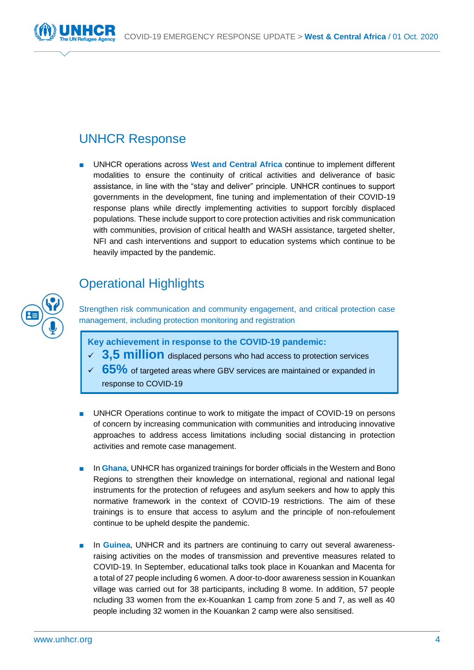

## UNHCR Response

■ UNHCR operations across West and Central Africa continue to implement different modalities to ensure the continuity of critical activities and deliverance of basic assistance, in line with the "stay and deliver" principle. UNHCR continues to support governments in the development, fine tuning and implementation of their COVID-19 response plans while directly implementing activities to support forcibly displaced populations. These include support to core protection activities and risk communication with communities, provision of critical health and WASH assistance, targeted shelter, NFI and cash interventions and support to education systems which continue to be heavily impacted by the pandemic.

# Operational Highlights

Strengthen risk communication and community engagement, and critical protection case management, including protection monitoring and registration

**Key achievement in response to the COVID-19 pandemic:** 

- ✓ **3,5 million** displaced persons who had access to protection services
- ✓ **65%** of targeted areas where GBV services are maintained or expanded in response to COVID-19
- UNHCR Operations continue to work to mitigate the impact of COVID-19 on persons of concern by increasing communication with communities and introducing innovative approaches to address access limitations including social distancing in protection activities and remote case management.
- In Ghana, UNHCR has organized trainings for border officials in the Western and Bono Regions to strengthen their knowledge on international, regional and national legal instruments for the protection of refugees and asylum seekers and how to apply this normative framework in the context of COVID-19 restrictions. The aim of these trainings is to ensure that access to asylum and the principle of non-refoulement continue to be upheld despite the pandemic.
- In **Guinea**, UNHCR and its partners are continuing to carry out several awarenessraising activities on the modes of transmission and preventive measures related to COVID-19. In September, educational talks took place in Kouankan and Macenta for a total of 27 people including 6 women. A door-to-door awareness session in Kouankan village was carried out for 38 participants, including 8 wome. In addition, 57 people ncluding 33 women from the ex-Kouankan 1 camp from zone 5 and 7, as well as 40 people including 32 women in the Kouankan 2 camp were also sensitised.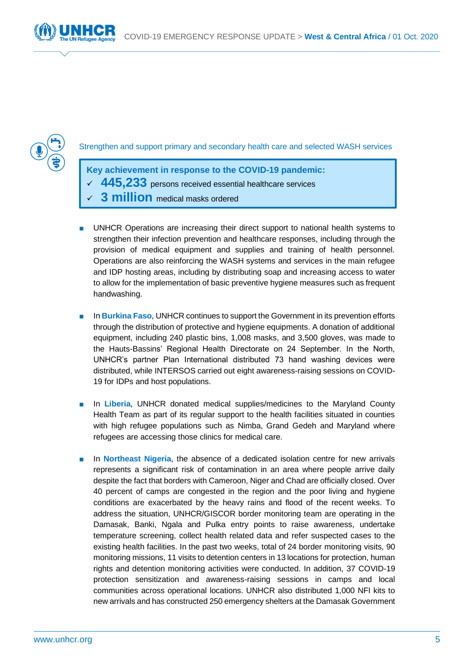



Strengthen and support primary and secondary health care and selected WASH services

**Key achievement in response to the COVID-19 pandemic:**  ✓ **445,233** persons received essential healthcare services **3 million** medical masks ordered

- UNHCR Operations are increasing their direct support to national health systems to strengthen their infection prevention and healthcare responses, including through the provision of medical equipment and supplies and training of health personnel. Operations are also reinforcing the WASH systems and services in the main refugee and IDP hosting areas, including by distributing soap and increasing access to water to allow for the implementation of basic preventive hygiene measures such as frequent handwashing.
- In **Burkina Faso**, UNHCR continues to support the Government in its prevention efforts through the distribution of protective and hygiene equipments. A donation of additional equipment, including 240 plastic bins, 1,008 masks, and 3,500 gloves, was made to the Hauts-Bassins' Regional Health Directorate on 24 September. In the North, UNHCR's partner Plan International distributed 73 hand washing devices were distributed, while INTERSOS carried out eight awareness-raising sessions on COVID-19 for IDPs and host populations.
- In **Liberia**, UNHCR donated medical supplies/medicines to the Maryland County Health Team as part of its regular support to the health facilities situated in counties with high refugee populations such as Nimba, Grand Gedeh and Maryland where refugees are accessing those clinics for medical care.
- In **Northeast Nigeria**, the absence of a dedicated isolation centre for new arrivals represents a significant risk of contamination in an area where people arrive daily despite the fact that borders with Cameroon, Niger and Chad are officially closed. Over 40 percent of camps are congested in the region and the poor living and hygiene conditions are exacerbated by the heavy rains and flood of the recent weeks. To address the situation, UNHCR/GISCOR border monitoring team are operating in the Damasak, Banki, Ngala and Pulka entry points to raise awareness, undertake temperature screening, collect health related data and refer suspected cases to the existing health facilities. In the past two weeks, total of 24 border monitoring visits, 90 monitoring missions, 11 visits to detention centers in 13 locations for protection, human rights and detention monitoring activities were conducted. In addition, 37 COVID-19 protection sensitization and awareness-raising sessions in camps and local communities across operational locations. UNHCR also distributed 1,000 NFI kits to new arrivals and has constructed 250 emergency shelters at the Damasak Government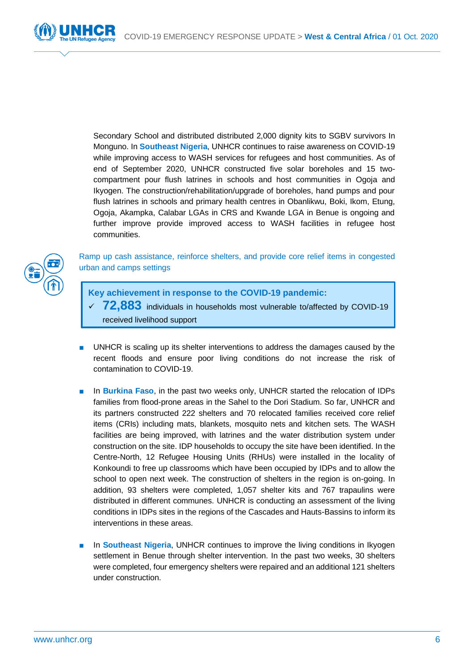

Secondary School and distributed distributed 2,000 dignity kits to SGBV survivors In Monguno. In **Southeast Nigeria**, UNHCR continues to raise awareness on COVID-19 while improving access to WASH services for refugees and host communities. As of end of September 2020, UNHCR constructed five solar boreholes and 15 twocompartment pour flush latrines in schools and host communities in Ogoja and Ikyogen. The construction/rehabilitation/upgrade of boreholes, hand pumps and pour flush latrines in schools and primary health centres in Obanlikwu, Boki, Ikom, Etung, Ogoja, Akampka, Calabar LGAs in CRS and Kwande LGA in Benue is ongoing and further improve provide improved access to WASH facilities in refugee host communities.



Ramp up cash assistance, reinforce shelters, and provide core relief items in congested urban and camps settings

- **Key achievement in response to the COVID-19 pandemic:** 
	- ✓ **72,883** individuals in households most vulnerable to/affected by COVID-19 received livelihood support
- UNHCR is scaling up its shelter interventions to address the damages caused by the recent floods and ensure poor living conditions do not increase the risk of contamination to COVID-19.
- In Burkina Faso, in the past two weeks only, UNHCR started the relocation of IDPs families from flood-prone areas in the Sahel to the Dori Stadium. So far, UNHCR and its partners constructed 222 shelters and 70 relocated families received core relief items (CRIs) including mats, blankets, mosquito nets and kitchen sets. The WASH facilities are being improved, with latrines and the water distribution system under construction on the site. IDP households to occupy the site have been identified. In the Centre-North, 12 Refugee Housing Units (RHUs) were installed in the locality of Konkoundi to free up classrooms which have been occupied by IDPs and to allow the school to open next week. The construction of shelters in the region is on-going. In addition, 93 shelters were completed, 1,057 shelter kits and 767 trapaulins were distributed in different communes. UNHCR is conducting an assessment of the living conditions in IDPs sites in the regions of the Cascades and Hauts-Bassins to inform its interventions in these areas.
- In **Southeast Nigeria**, UNHCR continues to improve the living conditions in Ikyogen settlement in Benue through shelter intervention. In the past two weeks, 30 shelters were completed, four emergency shelters were repaired and an additional 121 shelters under construction.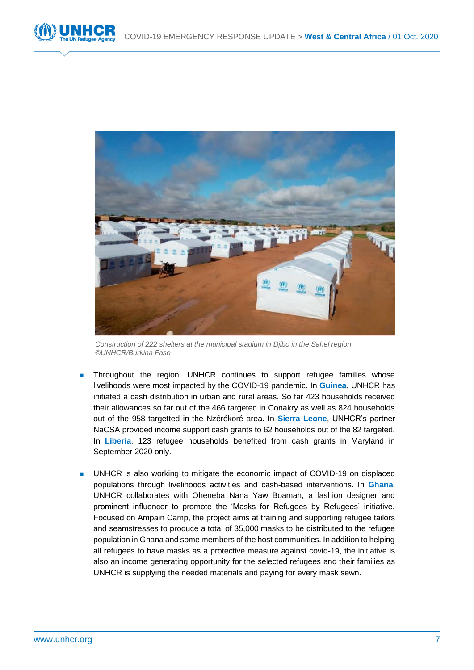



*Construction of 222 shelters at the municipal stadium in Djibo in the Sahel region. ©UNHCR/Burkina Faso*

- Throughout the region, UNHCR continues to support refugee families whose livelihoods were most impacted by the COVID-19 pandemic. In **Guinea**, UNHCR has initiated a cash distribution in urban and rural areas. So far 423 households received their allowances so far out of the 466 targeted in Conakry as well as 824 households out of the 958 targetted in the Nzérékoré area. In **Sierra Leone**, UNHCR's partner NaCSA provided income support cash grants to 62 households out of the 82 targeted. In **Liberia**, 123 refugee households benefited from cash grants in Maryland in September 2020 only.
- UNHCR is also working to mitigate the economic impact of COVID-19 on displaced populations through livelihoods activities and cash-based interventions. In **Ghana**, UNHCR collaborates with Oheneba Nana Yaw Boamah, a fashion designer and prominent influencer to promote the 'Masks for Refugees by Refugees' initiative. Focused on Ampain Camp, the project aims at training and supporting refugee tailors and seamstresses to produce a total of 35,000 masks to be distributed to the refugee population in Ghana and some members of the host communities. In addition to helping all refugees to have masks as a protective measure against covid-19, the initiative is also an income generating opportunity for the selected refugees and their families as UNHCR is supplying the needed materials and paying for every mask sewn.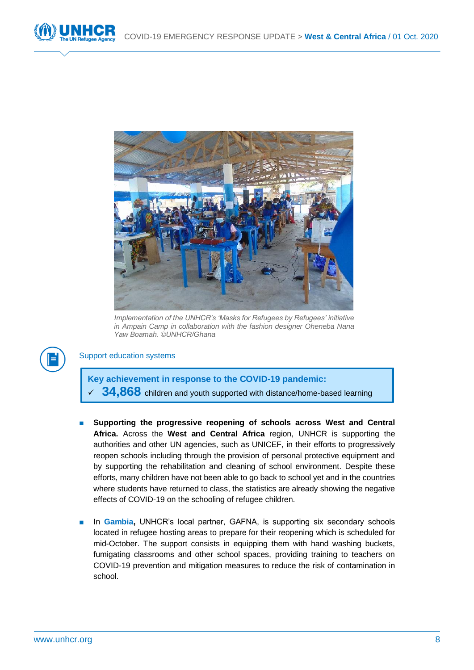



*Implementation of the UNHCR's 'Masks for Refugees by Refugees' initiative in Ampain Camp in collaboration with the fashion designer Oheneba Nana Yaw Boamah. ©UNHCR/Ghana*



### Support education systems

**Key achievement in response to the COVID-19 pandemic:**  34,868 children and youth supported with distance/home-based learning

- Supporting the progressive reopening of schools across West and Central **Africa.** Across the **West and Central Africa** region, UNHCR is supporting the authorities and other UN agencies, such as UNICEF, in their efforts to progressively reopen schools including through the provision of personal protective equipment and by supporting the rehabilitation and cleaning of school environment. Despite these efforts, many children have not been able to go back to school yet and in the countries where students have returned to class, the statistics are already showing the negative effects of COVID-19 on the schooling of refugee children.
- In **Gambia, UNHCR's local partner, GAFNA, is supporting six secondary schools** located in refugee hosting areas to prepare for their reopening which is scheduled for mid-October. The support consists in equipping them with hand washing buckets, fumigating classrooms and other school spaces, providing training to teachers on COVID-19 prevention and mitigation measures to reduce the risk of contamination in school.